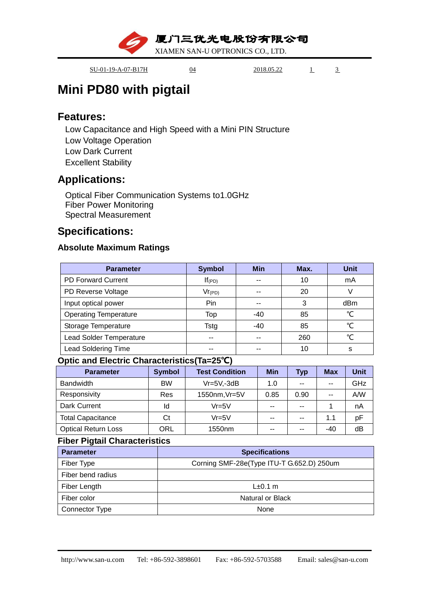厦门三优光电股份有限公司

XIAMEN SAN-U OPTRONICS CO., LTD.

SU-01-19-A-07-B17H 04 2018.05.22 1 3

# **Mini PD80 with pigtail**

### **Features:**

Low Capacitance and High Speed with a Mini PIN Structure Low Voltage Operation Low Dark Current Excellent Stability

## **Applications:**

Optical Fiber Communication Systems to1.0GHz Fiber Power Monitoring Spectral Measurement

## **Specifications:**

### **Absolute Maximum Ratings**

| <b>Parameter</b>               | <b>Symbol</b> | <b>Min</b> | Max. | <b>Unit</b> |
|--------------------------------|---------------|------------|------|-------------|
| <b>PD Forward Current</b>      | $If$ (PD)     | --         | 10   | mA          |
| PD Reverse Voltage             | $Vr_{(PD)}$   | --         | 20   |             |
| Input optical power            | Pin           | --         | 3    | dBm         |
| <b>Operating Temperature</b>   | Top           | $-40$      | 85   | ℃           |
| Storage Temperature            | Tstg          | $-40$      | 85   | ℃           |
| <b>Lead Solder Temperature</b> | --            | --         | 260  | ℃           |
| <b>Lead Soldering Time</b>     | --            | --         | 10   | S           |

#### **Optic and Electric Characteristics(Ta=25℃)**

| <b>Parameter</b>           | <b>Symbol</b> | <b>Test Condition</b> | <b>Min</b> | <b>Typ</b> | <b>Max</b> | <b>Unit</b> |
|----------------------------|---------------|-----------------------|------------|------------|------------|-------------|
| <b>Bandwidth</b>           | <b>BW</b>     | $Vr = 5V, -3dB$       | 1.0        | --         | $-$        | GHz         |
| Responsivity               | Res           | 1550nm, Vr=5V         | 0.85       | 0.90       | $-$        | A/W         |
| Dark Current               | ld            | $Vr = 5V$             | $- -$      | --         |            | nA          |
| <b>Total Capacitance</b>   | Ct            | $Vr = 5V$             | $- -$      | --         | 1.1        | pF          |
| <b>Optical Return Loss</b> | ORL           | 1550 <sub>nm</sub>    | $- -$      | --         | $-40$      | dB          |

#### **Fiber Pigtail Characteristics**

| <b>Parameter</b>  | <b>Specifications</b>                     |
|-------------------|-------------------------------------------|
| Fiber Type        | Corning SMF-28e(Type ITU-T G.652.D) 250um |
| Fiber bend radius |                                           |
| Fiber Length      | $L\pm 0.1$ m                              |
| Fiber color       | <b>Natural or Black</b>                   |
| Connector Type    | None                                      |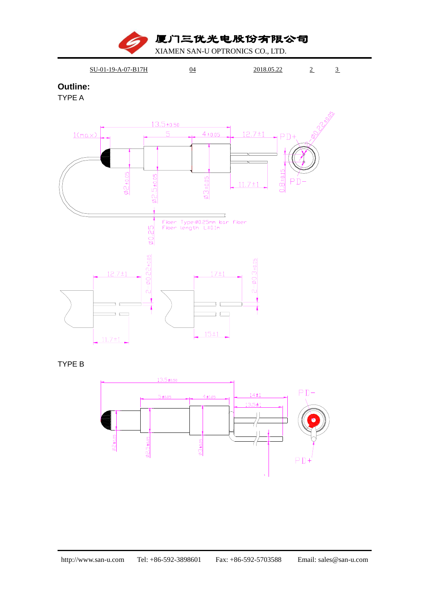厦门三优光电股份有限公司

XIAMEN SAN-U OPTRONICS CO., LTD.



#### **Outline:**

TYPE A